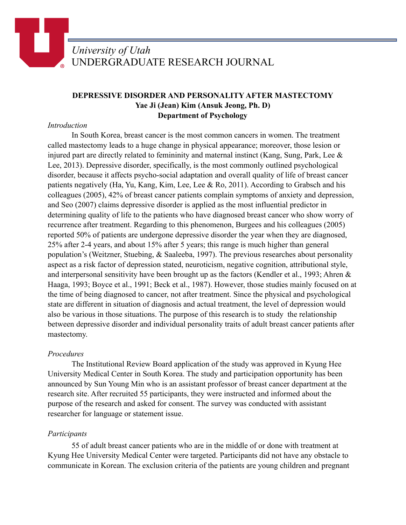# **DEPRESSIVE DISORDER AND PERSONALITY AFTER MASTECTOMY Yae Ji (Jean) Kim (Ansuk Jeong, Ph. D) Department of Psychology**

### *Introduction*

 In South Korea, breast cancer is the most common cancers in women. The treatment called mastectomy leads to a huge change in physical appearance; moreover, those lesion or injured part are directly related to femininity and maternal instinct (Kang, Sung, Park, Lee & Lee, 2013). Depressive disorder, specifically, is the most commonly outlined psychological disorder, because it affects psycho-social adaptation and overall quality of life of breast cancer patients negatively (Ha, Yu, Kang, Kim, Lee, Lee & Ro, 2011). According to Grabsch and his colleagues (2005), 42% of breast cancer patients complain symptoms of anxiety and depression, and Seo (2007) claims depressive disorder is applied as the most influential predictor in determining quality of life to the patients who have diagnosed breast cancer who show worry of recurrence after treatment. Regarding to this phenomenon, Burgees and his colleagues (2005) reported 50% of patients are undergone depressive disorder the year when they are diagnosed, 25% after 2-4 years, and about 15% after 5 years; this range is much higher than general population's (Weitzner, Stuebing, & Saaleeba, 1997). The previous researches about personality aspect as a risk factor of depression stated, neuroticism, negative cognition, attributional style, and interpersonal sensitivity have been brought up as the factors (Kendler et al., 1993; Ahren & Haaga, 1993; Boyce et al., 1991; Beck et al., 1987). However, those studies mainly focused on at the time of being diagnosed to cancer, not after treatment. Since the physical and psychological state are different in situation of diagnosis and actual treatment, the level of depression would also be various in those situations. The purpose of this research is to study the relationship between depressive disorder and individual personality traits of adult breast cancer patients after mastectomy.

## *Procedures*

 The Institutional Review Board application of the study was approved in Kyung Hee University Medical Center in South Korea. The study and participation opportunity has been announced by Sun Young Min who is an assistant professor of breast cancer department at the research site. After recruited 55 participants, they were instructed and informed about the purpose of the research and asked for consent. The survey was conducted with assistant researcher for language or statement issue.

## *Participants*

 55 of adult breast cancer patients who are in the middle of or done with treatment at Kyung Hee University Medical Center were targeted. Participants did not have any obstacle to communicate in Korean. The exclusion criteria of the patients are young children and pregnant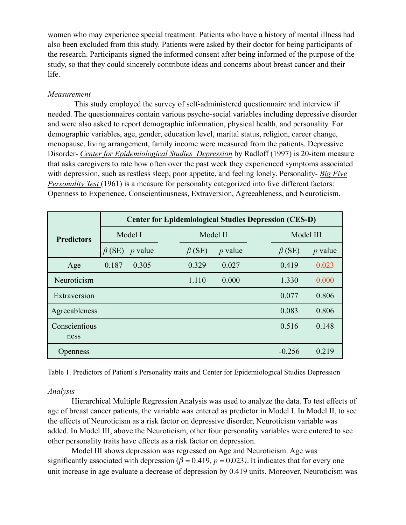women who may experience special treatment. Patients who have a history of mental illness had also been excluded from this study. Patients were asked by their doctor for being participants of the research. Participants signed the informed consent after being informed of the purpose of the study, so that they could sincerely contribute ideas and concerns about breast cancer and their life.

### *Measurement*

 This study employed the survey of self-administered questionnaire and interview if needed. The questionnaires contain various psycho-social variables including depressive disorder and were also asked to report demographic information, physical health, and personality. For demographic variables, age, gender, education level, marital status, religion, career change, menopause, living arrangement, family income were measured from the patients. Depressive Disorder- *Center for Epidemiological Studies\_Depression* by Radloff (1997) is 20-item measure that asks caregivers to rate how often over the past week they experienced symptoms associated with depression, such as restless sleep, poor appetite, and feeling lonely. Personality- *Big Five Personality Test* (1961) is a measure for personality categorized into five different factors: Openness to Experience, Conscientiousness, Extraversion, Agreeableness, and Neuroticism.

|                   | <b>Center for Epidemiological Studies Depression (CES-D)</b> |           |              |           |              |           |  |
|-------------------|--------------------------------------------------------------|-----------|--------------|-----------|--------------|-----------|--|
| <b>Predictors</b> | Model I                                                      |           |              | Model II  |              | Model III |  |
|                   | $\beta$ (SE)                                                 | $p$ value | $\beta$ (SE) | $p$ value | $\beta$ (SE) | $p$ value |  |
| Age               | 0.187                                                        | 0.305     | 0.329        | 0.027     | 0.419        | 0.023     |  |
| Neuroticism       |                                                              |           | 1.110        | 0.000     | 1.330        | 0.000     |  |
| Extraversion      |                                                              |           |              |           | 0.077        | 0.806     |  |
| Agreeableness     |                                                              |           |              |           | 0.083        | 0.806     |  |
| Conscientious     |                                                              |           |              |           | 0.516        | 0.148     |  |
| ness              |                                                              |           |              |           |              |           |  |
| Openness          |                                                              |           |              |           | $-0.256$     | 0.219     |  |

Table 1. Predictors of Patient's Personality traits and Center for Epidemiological Studies Depression

#### *Analysis*

 Hierarchical Multiple Regression Analysis was used to analyze the data. To test effects of age of breast cancer patients, the variable was entered as predictor in Model I. In Model II, to see the effects of Neuroticism as a risk factor on depressive disorder, Neuroticism variable was added. In Model III, above the Neuroticism, other four personality variables were entered to see other personality traits have effects as a risk factor on depression.

 Model III shows depression was regressed on Age and Neuroticism. Age was significantly associated with depression ( $\beta$  = 0.419*, p* = 0.023*)*. It indicates that for every one unit increase in age evaluate a decrease of depression by 0.419 units. Moreover, Neuroticism was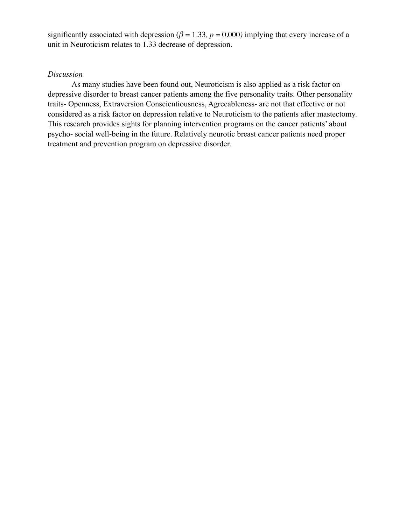significantly associated with depression ( $\beta = 1.33$ ,  $p = 0.000$ ) implying that every increase of a unit in Neuroticism relates to 1.33 decrease of depression.

#### *Discussion*

 As many studies have been found out, Neuroticism is also applied as a risk factor on depressive disorder to breast cancer patients among the five personality traits. Other personality traits- Openness, Extraversion Conscientiousness, Agreeableness- are not that effective or not considered as a risk factor on depression relative to Neuroticism to the patients after mastectomy. This research provides sights for planning intervention programs on the cancer patients' about psycho- social well-being in the future. Relatively neurotic breast cancer patients need proper treatment and prevention program on depressive disorder.